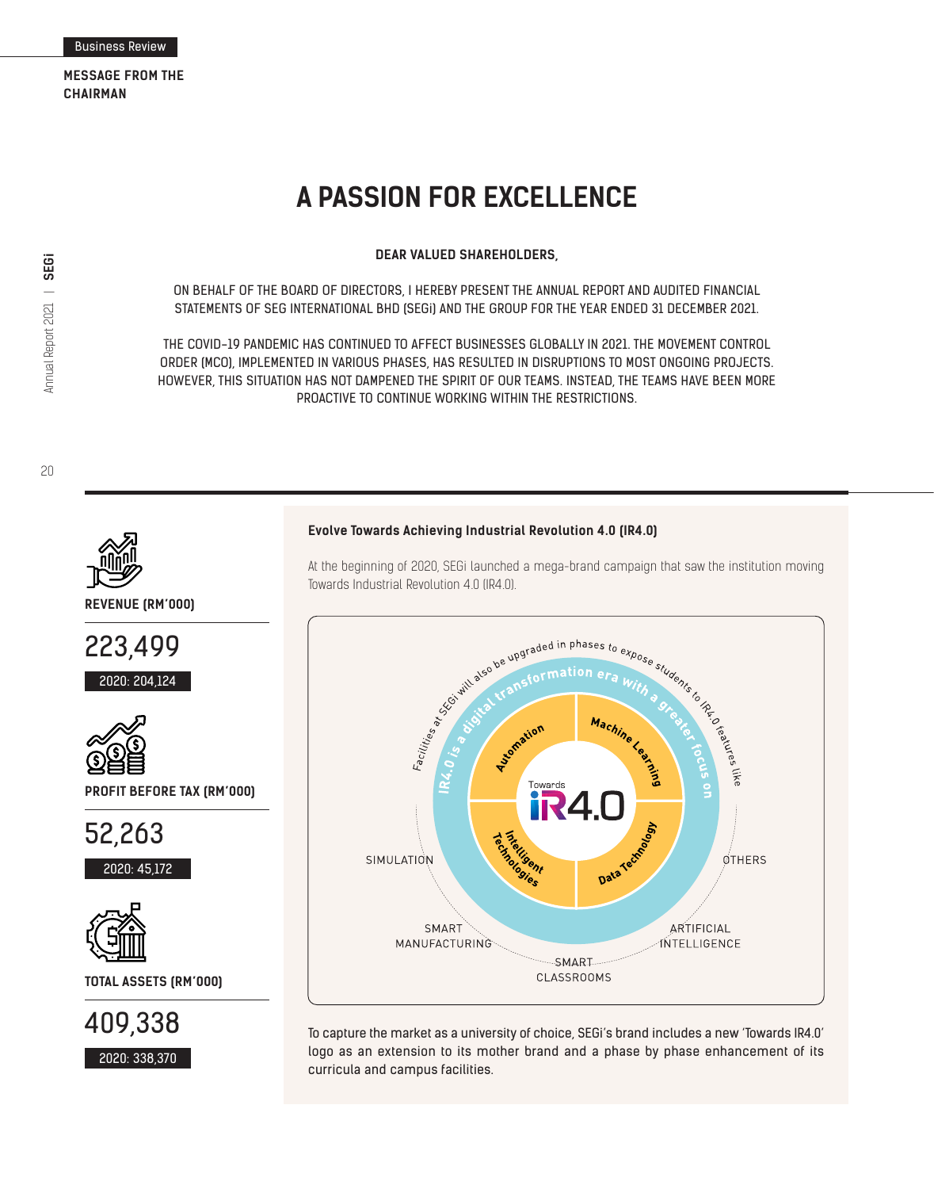# **A PASSION FOR EXCELLENCE**

**DEAR VALUED SHAREHOLDERS,**

ON BEHALF OF THE BOARD OF DIRECTORS, I HEREBY PRESENT THE ANNUAL REPORT AND AUDITED FINANCIAL STATEMENTS OF SEG INTERNATIONAL BHD (SEGi) AND THE GROUP FOR THE YEAR ENDED 31 DECEMBER 2021.

THE COVID-19 PANDEMIC HAS CONTINUED TO AFFECT BUSINESSES GLOBALLY IN 2021. THE MOVEMENT CONTROL ORDER (MCO), IMPLEMENTED IN VARIOUS PHASES, HAS RESULTED IN DISRUPTIONS TO MOST ONGOING PROJECTS. HOWEVER, THIS SITUATION HAS NOT DAMPENED THE SPIRIT OF OUR TEAMS. INSTEAD, THE TEAMS HAVE BEEN MORE PROACTIVE TO CONTINUE WORKING WITHIN THE RESTRICTIONS.

20

Annual Report 2021 |

Annual Report 2021 | **SEGi** 



**REVENUE (RM'000)**







2020: 338,370

To capture the market as a university of choice, SEGi's brand includes a new 'Towards IR4.0' logo as an extension to its mother brand and a phase by phase enhancement of its curricula and campus facilities.

#### **Evolve Towards Achieving Industrial Revolution 4.0 (IR4.0)**

Towards Industrial Revolution 4.0 (IR4.0).<br>
Subsequently also be upgraded in phases to  $\epsilon$ <br>
subsequently also be upgraded in phases to  $\epsilon$ <br>
subsequently also be upgraded in phases to  $\epsilon$ to expose students to the contract of the contract of the contract of the contract of the contract of the contract of the contract of the contract of the contract of the contract of the contract of the contract of the cont Machine  $IR4.0$ Rectionship Data Techno SIMULATION OTHERS SMART ARTIFICIAL MANUFACTURING **INTELLIGENCE** SMART **CLASSROOMS** 

At the beginning of 2020, SEGi launched a mega-brand campaign that saw the institution moving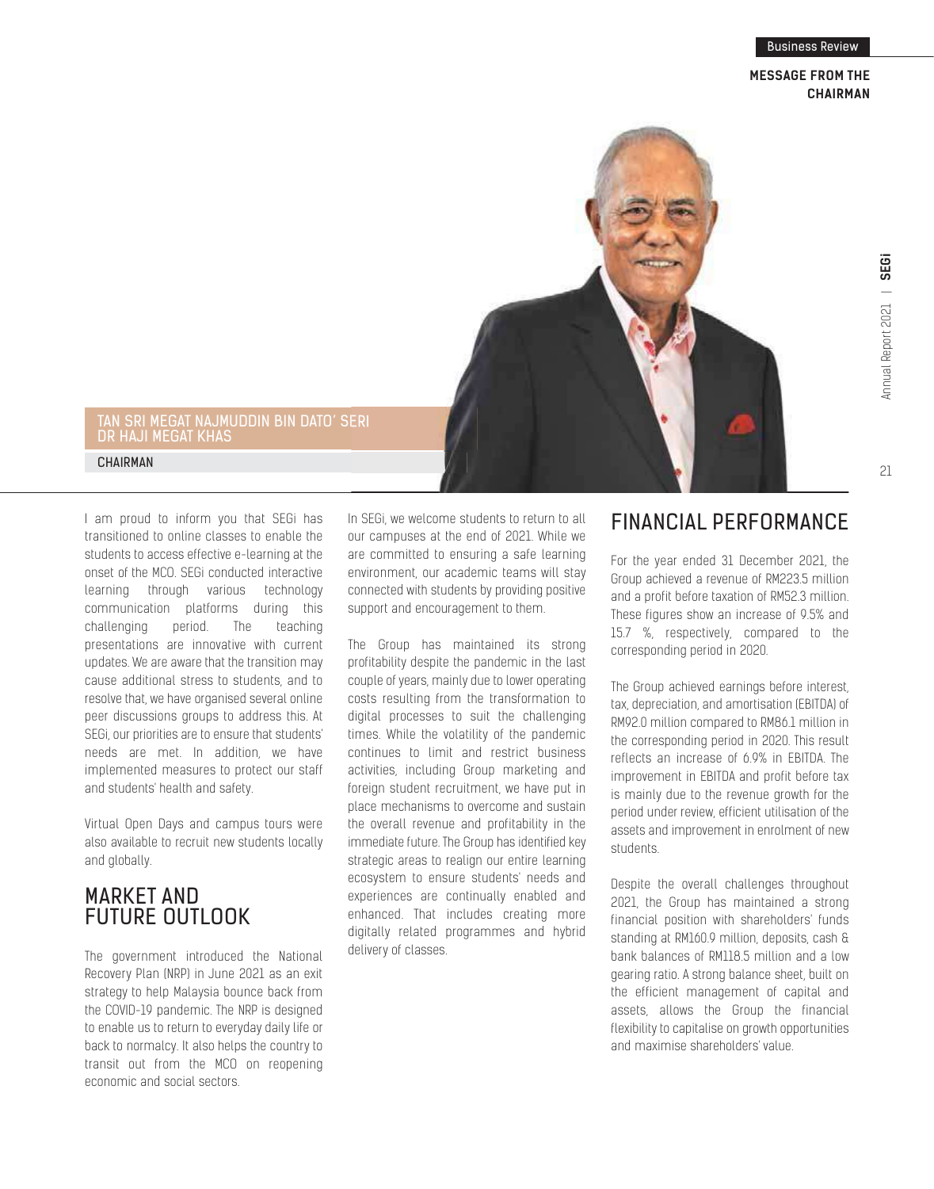## **MESSAGE FROM THE CHAIRMAN**



## TAN SRI MEGAT NAJMUDDIN BIN DATO' SERI DR HAJI MEGAT KHAS

CHAIRMAN

I am proud to inform you that SEGi has transitioned to online classes to enable the students to access effective e-learning at the onset of the MCO. SEGi conducted interactive learning through various technology communication platforms during this challenging period. The teaching presentations are innovative with current updates. We are aware that the transition may cause additional stress to students, and to resolve that, we have organised several online peer discussions groups to address this. At SEGi, our priorities are to ensure that students' needs are met. In addition, we have implemented measures to protect our staff and students' health and safety.

Virtual Open Days and campus tours were also available to recruit new students locally and globally.

# MARKET AND FUTURE OUTLOOK

The government introduced the National Recovery Plan (NRP) in June 2021 as an exit strategy to help Malaysia bounce back from the COVID-19 pandemic. The NRP is designed to enable us to return to everyday daily life or back to normalcy. It also helps the country to transit out from the MCO on reopening economic and social sectors.

In SEGi, we welcome students to return to all our campuses at the end of 2021. While we are committed to ensuring a safe learning environment, our academic teams will stay connected with students by providing positive support and encouragement to them.

The Group has maintained its strong profitability despite the pandemic in the last couple of years, mainly due to lower operating costs resulting from the transformation to digital processes to suit the challenging times. While the volatility of the pandemic continues to limit and restrict business activities, including Group marketing and foreign student recruitment, we have put in place mechanisms to overcome and sustain the overall revenue and profitability in the immediate future. The Group has identified key strategic areas to realign our entire learning ecosystem to ensure students' needs and experiences are continually enabled and enhanced. That includes creating more digitally related programmes and hybrid delivery of classes.

# FINANCIAL PERFORMANCE

For the year ended 31 December 2021, the Group achieved a revenue of RM223.5 million and a profit before taxation of RM52.3 million. These figures show an increase of 9.5% and 15.7 %, respectively, compared to the corresponding period in 2020.

The Group achieved earnings before interest, tax, depreciation, and amortisation (EBITDA) of RM92.0 million compared to RM86.1 million in the corresponding period in 2020. This result reflects an increase of 6.9% in EBITDA. The improvement in EBITDA and profit before tax is mainly due to the revenue growth for the period under review, efficient utilisation of the assets and improvement in enrolment of new students.

Despite the overall challenges throughout 2021, the Group has maintained a strong financial position with shareholders' funds standing at RM160.9 million, deposits, cash & bank balances of RM118.5 million and a low gearing ratio. A strong balance sheet, built on the efficient management of capital and assets, allows the Group the financial flexibility to capitalise on growth opportunities and maximise shareholders' value.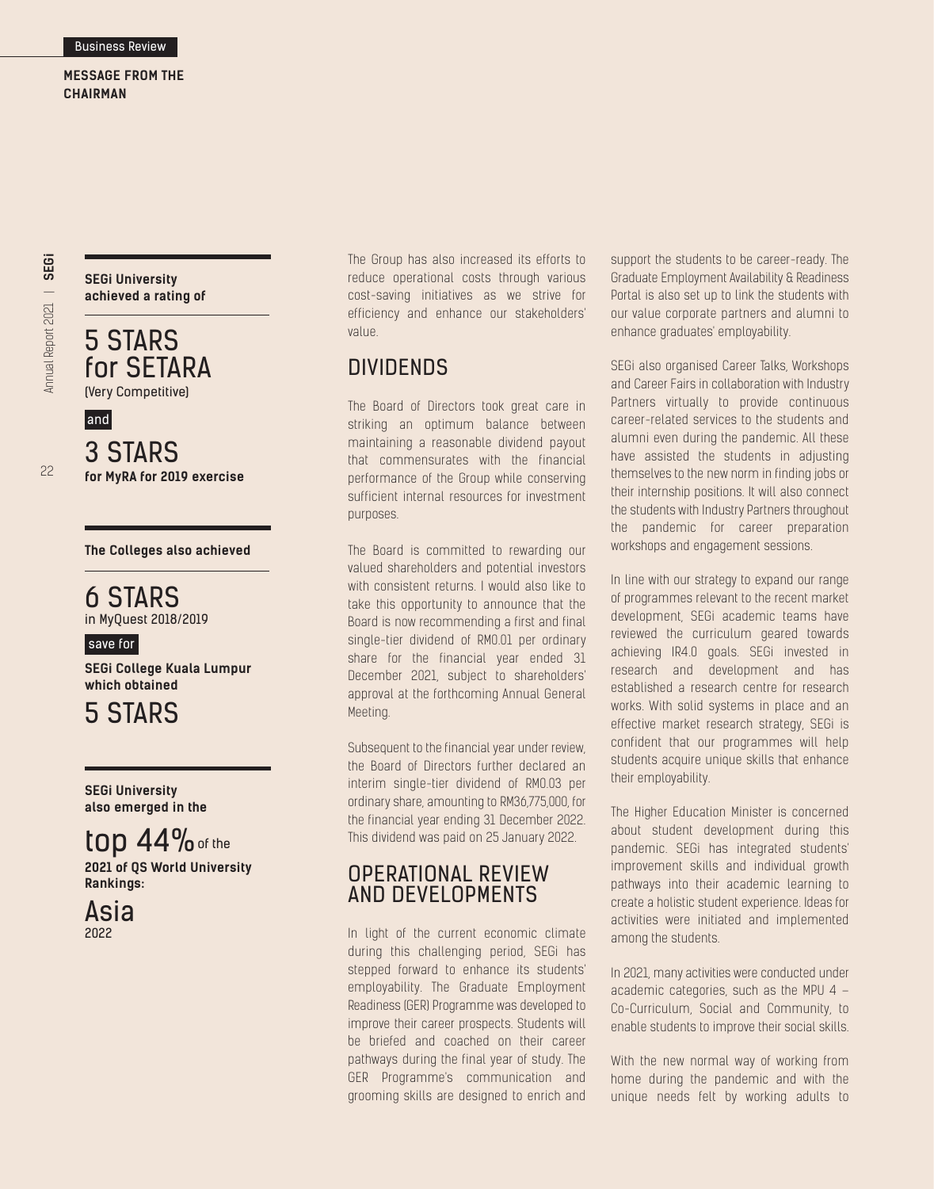**MESSAGE FROM THE CHAIRMAN**

**SEGi University achieved a rating of**

5 STARS for SETARA (Very Competitive)

3 STARS **for MyRA for 2019 exercise** and

## **The Colleges also achieved**

# 6 STARS

in MyQuest 2018/2019

## save for

**SEGi College Kuala Lumpur which obtained**

5 STARS

**SEGi University also emerged in the**

# $top$  44% of the

**2021 of QS World University Rankings:**



The Group has also increased its efforts to reduce operational costs through various cost-saving initiatives as we strive for efficiency and enhance our stakeholders' value.

## **DIVIDENDS**

The Board of Directors took great care in striking an optimum balance between maintaining a reasonable dividend payout that commensurates with the financial performance of the Group while conserving sufficient internal resources for investment purposes.

The Board is committed to rewarding our valued shareholders and potential investors with consistent returns. I would also like to take this opportunity to announce that the Board is now recommending a first and final single-tier dividend of RM0.01 per ordinary share for the financial year ended 31 December 2021, subject to shareholders' approval at the forthcoming Annual General Meeting.

Subsequent to the financial year under review, the Board of Directors further declared an interim single-tier dividend of RM0.03 per ordinary share, amounting to RM36,775,000, for the financial year ending 31 December 2022. This dividend was paid on 25 January 2022.

## OPERATIONAL REVIEW AND DEVELOPMENTS

In light of the current economic climate during this challenging period, SEGi has stepped forward to enhance its students' employability. The Graduate Employment Readiness (GER) Programme was developed to improve their career prospects. Students will be briefed and coached on their career pathways during the final year of study. The GER Programme's communication and grooming skills are designed to enrich and

support the students to be career-ready. The Graduate Employment Availability & Readiness Portal is also set up to link the students with our value corporate partners and alumni to enhance graduates' employability.

SEGi also organised Career Talks, Workshops and Career Fairs in collaboration with Industry Partners virtually to provide continuous career-related services to the students and alumni even during the pandemic. All these have assisted the students in adjusting themselves to the new norm in finding jobs or their internship positions. It will also connect the students with Industry Partners throughout the pandemic for career preparation workshops and engagement sessions.

In line with our strategy to expand our range of programmes relevant to the recent market development, SEGi academic teams have reviewed the curriculum geared towards achieving IR4.0 goals. SEGi invested in research and development and has established a research centre for research works. With solid systems in place and an effective market research strategy, SEGi is confident that our programmes will help students acquire unique skills that enhance their employability.

The Higher Education Minister is concerned about student development during this pandemic. SEGi has integrated students' improvement skills and individual growth pathways into their academic learning to create a holistic student experience. Ideas for activities were initiated and implemented among the students.

In 2021, many activities were conducted under academic categories, such as the MPU 4 – Co-Curriculum, Social and Community, to enable students to improve their social skills.

With the new normal way of working from home during the pandemic and with the unique needs felt by working adults to